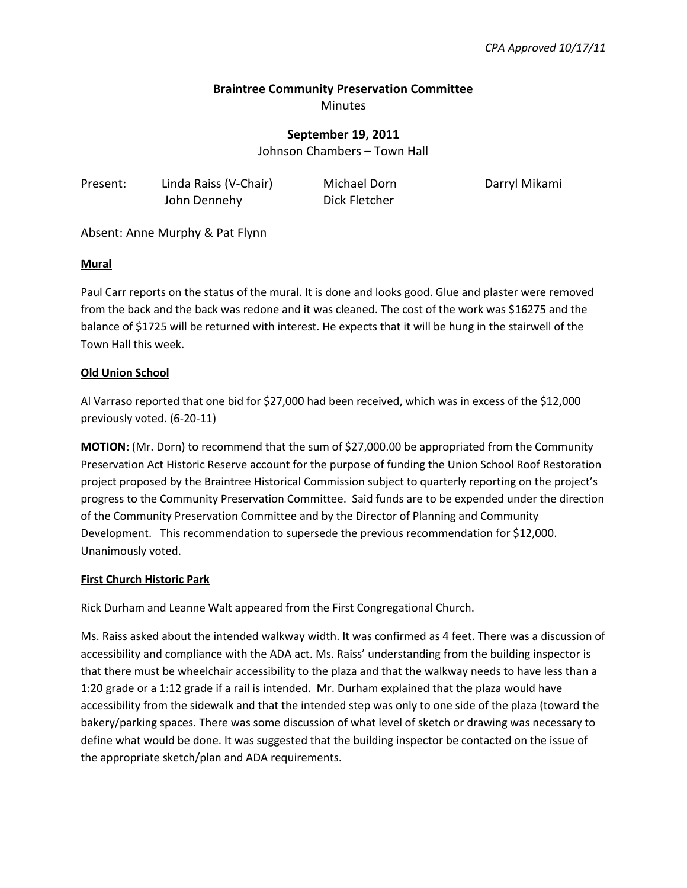## **Braintree Community Preservation Committee**  Minutes

**September 19, 2011**

Johnson Chambers – Town Hall

| Present: | Linda Raiss (V-Chair) | Michael Dorn  | Darryl Mikami |
|----------|-----------------------|---------------|---------------|
|          | John Dennehy          | Dick Fletcher |               |

Absent: Anne Murphy & Pat Flynn

### **Mural**

Paul Carr reports on the status of the mural. It is done and looks good. Glue and plaster were removed from the back and the back was redone and it was cleaned. The cost of the work was \$16275 and the balance of \$1725 will be returned with interest. He expects that it will be hung in the stairwell of the Town Hall this week.

## **Old Union School**

Al Varraso reported that one bid for \$27,000 had been received, which was in excess of the \$12,000 previously voted. (6-20-11)

**MOTION:** (Mr. Dorn) to recommend that the sum of \$27,000.00 be appropriated from the Community Preservation Act Historic Reserve account for the purpose of funding the Union School Roof Restoration project proposed by the Braintree Historical Commission subject to quarterly reporting on the project's progress to the Community Preservation Committee. Said funds are to be expended under the direction of the Community Preservation Committee and by the Director of Planning and Community Development. This recommendation to supersede the previous recommendation for \$12,000. Unanimously voted.

## **First Church Historic Park**

Rick Durham and Leanne Walt appeared from the First Congregational Church.

Ms. Raiss asked about the intended walkway width. It was confirmed as 4 feet. There was a discussion of accessibility and compliance with the ADA act. Ms. Raiss' understanding from the building inspector is that there must be wheelchair accessibility to the plaza and that the walkway needs to have less than a 1:20 grade or a 1:12 grade if a rail is intended. Mr. Durham explained that the plaza would have accessibility from the sidewalk and that the intended step was only to one side of the plaza (toward the bakery/parking spaces. There was some discussion of what level of sketch or drawing was necessary to define what would be done. It was suggested that the building inspector be contacted on the issue of the appropriate sketch/plan and ADA requirements.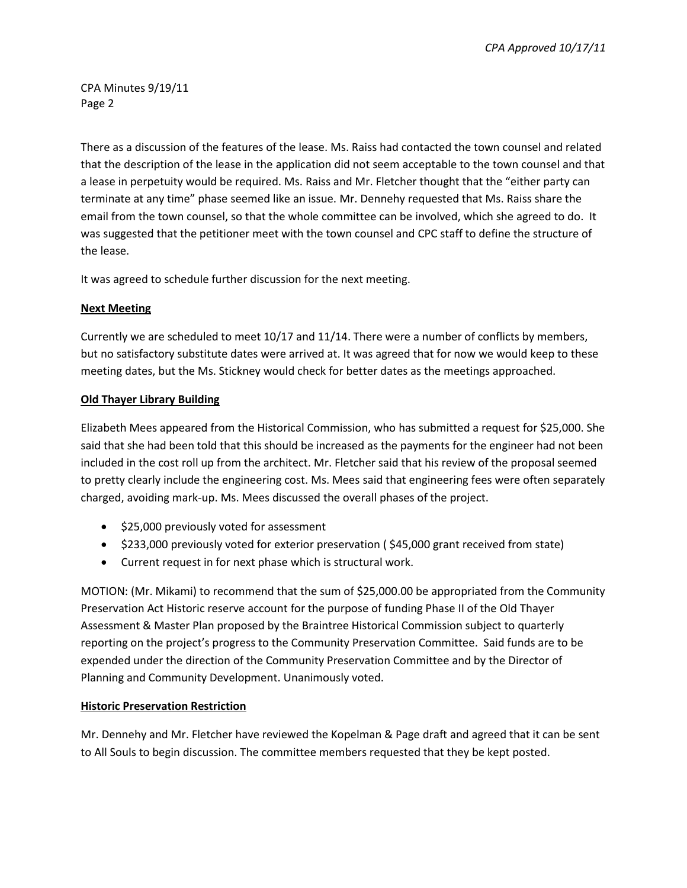*CPA Approved 10/17/11*

CPA Minutes 9/19/11 Page 2

There as a discussion of the features of the lease. Ms. Raiss had contacted the town counsel and related that the description of the lease in the application did not seem acceptable to the town counsel and that a lease in perpetuity would be required. Ms. Raiss and Mr. Fletcher thought that the "either party can terminate at any time" phase seemed like an issue. Mr. Dennehy requested that Ms. Raiss share the email from the town counsel, so that the whole committee can be involved, which she agreed to do. It was suggested that the petitioner meet with the town counsel and CPC staff to define the structure of the lease.

It was agreed to schedule further discussion for the next meeting.

## **Next Meeting**

Currently we are scheduled to meet 10/17 and 11/14. There were a number of conflicts by members, but no satisfactory substitute dates were arrived at. It was agreed that for now we would keep to these meeting dates, but the Ms. Stickney would check for better dates as the meetings approached.

## **Old Thayer Library Building**

Elizabeth Mees appeared from the Historical Commission, who has submitted a request for \$25,000. She said that she had been told that this should be increased as the payments for the engineer had not been included in the cost roll up from the architect. Mr. Fletcher said that his review of the proposal seemed to pretty clearly include the engineering cost. Ms. Mees said that engineering fees were often separately charged, avoiding mark-up. Ms. Mees discussed the overall phases of the project.

- \$25,000 previously voted for assessment
- \$233,000 previously voted for exterior preservation (\$45,000 grant received from state)
- Current request in for next phase which is structural work.

MOTION: (Mr. Mikami) to recommend that the sum of \$25,000.00 be appropriated from the Community Preservation Act Historic reserve account for the purpose of funding Phase II of the Old Thayer Assessment & Master Plan proposed by the Braintree Historical Commission subject to quarterly reporting on the project's progress to the Community Preservation Committee. Said funds are to be expended under the direction of the Community Preservation Committee and by the Director of Planning and Community Development. Unanimously voted.

# **Historic Preservation Restriction**

Mr. Dennehy and Mr. Fletcher have reviewed the Kopelman & Page draft and agreed that it can be sent to All Souls to begin discussion. The committee members requested that they be kept posted.